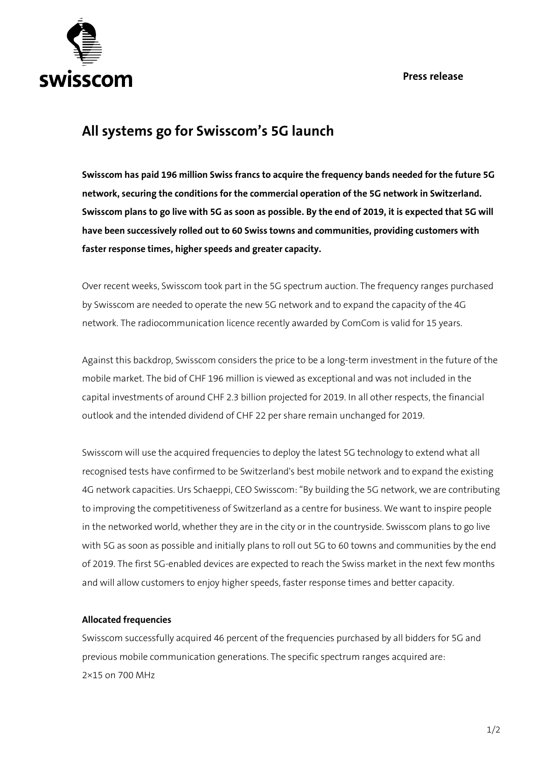**Press release**



## **All systems go for Swisscom's 5G launch**

**Swisscom has paid 196 million Swiss francs to acquire the frequency bands needed for the future 5G network, securing the conditions for the commercial operation of the 5G network in Switzerland. Swisscom plans to go live with 5G as soon as possible. By the end of 2019, it is expected that 5G will have been successively rolled out to 60 Swiss towns and communities, providing customers with faster response times, higher speeds and greater capacity.**

Over recent weeks, Swisscom took part in the 5G spectrum auction. The frequency ranges purchased by Swisscom are needed to operate the new 5G network and to expand the capacity of the 4G network. The radiocommunication licence recently awarded by ComCom is valid for 15 years.

Against this backdrop, Swisscom considers the price to be a long-term investment in the future of the mobile market. The bid of CHF 196 million is viewed as exceptional and was not included in the capital investments of around CHF 2.3 billion projected for 2019. In all other respects, the financial outlook and the intended dividend of CHF 22 per share remain unchanged for 2019.

Swisscom will use the acquired frequencies to deploy the latest 5G technology to extend what all recognised tests have confirmed to be Switzerland's best mobile network and to expand the existing 4G network capacities. Urs Schaeppi, CEO Swisscom: "By building the 5G network, we are contributing to improving the competitiveness of Switzerland as a centre for business. We want to inspire people in the networked world, whether they are in the city or in the countryside. Swisscom plans to go live with 5G as soon as possible and initially plans to roll out 5G to 60 towns and communities by the end of 2019. The first 5G-enabled devices are expected to reach the Swiss market in the next few months and will allow customers to enjoy higher speeds, faster response times and better capacity.

## **Allocated frequencies**

Swisscom successfully acquired 46 percent of the frequencies purchased by all bidders for 5G and previous mobile communication generations. The specific spectrum ranges acquired are: 2×15 on 700 MHz